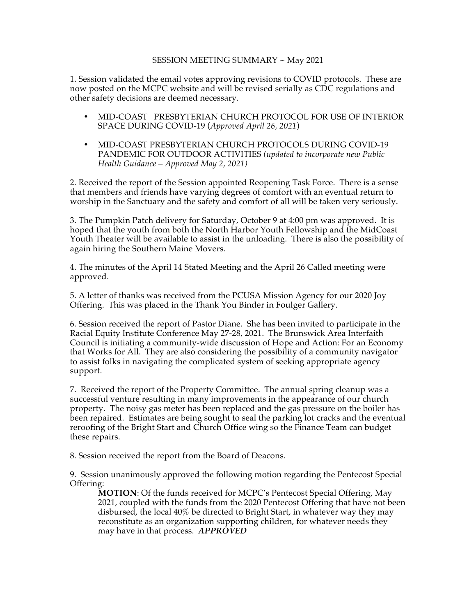## SESSION MEETING SUMMARY ~ May 2021

1. Session validated the email votes approving revisions to COVID protocols. These are now posted on the MCPC website and will be revised serially as CDC regulations and other safety decisions are deemed necessary.

- MID-COAST PRESBYTERIAN CHURCH PROTOCOL FOR USE OF INTERIOR SPACE DURING COVID-19 (*Approved April 26, 2021*)
- MID-COAST PRESBYTERIAN CHURCH PROTOCOLS DURING COVID-19 PANDEMIC FOR OUTDOOR ACTIVITIES *(updated to incorporate new Public Health Guidance – Approved May 2, 2021)*

2. Received the report of the Session appointed Reopening Task Force. There is a sense that members and friends have varying degrees of comfort with an eventual return to worship in the Sanctuary and the safety and comfort of all will be taken very seriously.

3. The Pumpkin Patch delivery for Saturday, October 9 at 4:00 pm was approved. It is hoped that the youth from both the North Harbor Youth Fellowship and the MidCoast Youth Theater will be available to assist in the unloading. There is also the possibility of again hiring the Southern Maine Movers.

4. The minutes of the April 14 Stated Meeting and the April 26 Called meeting were approved.

5. A letter of thanks was received from the PCUSA Mission Agency for our 2020 Joy Offering. This was placed in the Thank You Binder in Foulger Gallery.

6. Session received the report of Pastor Diane. She has been invited to participate in the Racial Equity Institute Conference May 27-28, 2021. The Brunswick Area Interfaith Council is initiating a community-wide discussion of Hope and Action: For an Economy that Works for All. They are also considering the possibility of a community navigator to assist folks in navigating the complicated system of seeking appropriate agency support.

7. Received the report of the Property Committee. The annual spring cleanup was a successful venture resulting in many improvements in the appearance of our church property. The noisy gas meter has been replaced and the gas pressure on the boiler has been repaired. Estimates are being sought to seal the parking lot cracks and the eventual reroofing of the Bright Start and Church Office wing so the Finance Team can budget these repairs.

8. Session received the report from the Board of Deacons.

9. Session unanimously approved the following motion regarding the Pentecost Special Offering:

**MOTION**: Of the funds received for MCPC's Pentecost Special Offering, May 2021, coupled with the funds from the 2020 Pentecost Offering that have not been disbursed, the local 40% be directed to Bright Start, in whatever way they may reconstitute as an organization supporting children, for whatever needs they may have in that process. *APPROVED*